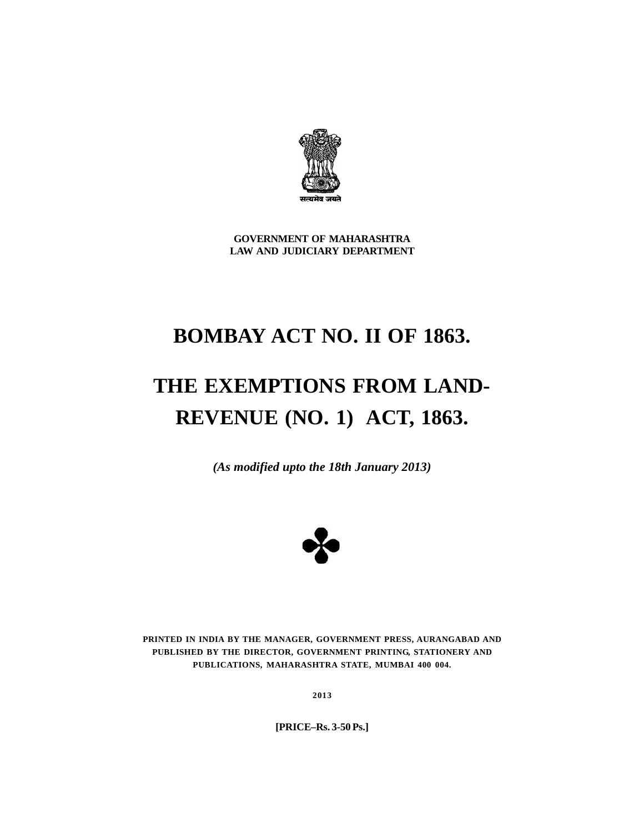

**GOVERNMENT OF MAHARASHTRA LAW AND JUDICIARY DEPARTMENT**

# **BOMBAY ACT NO. II OF 1863.**

# **THE EXEMPTIONS FROM LAND-REVENUE (NO. 1) ACT, 1863.**

*(As modified upto the 18th January 2013)*



**PRINTED IN INDIA BY THE MANAGER, GOVERNMENT PRESS, AURANGABAD AND PUBLISHED BY THE DIRECTOR, GOVERNMENT PRINTING, STATIONERY AND PUBLICATIONS, MAHARASHTRA STATE, MUMBAI 400 004.**

**2013**

**[PRICE–Rs. 3-50 Ps.]**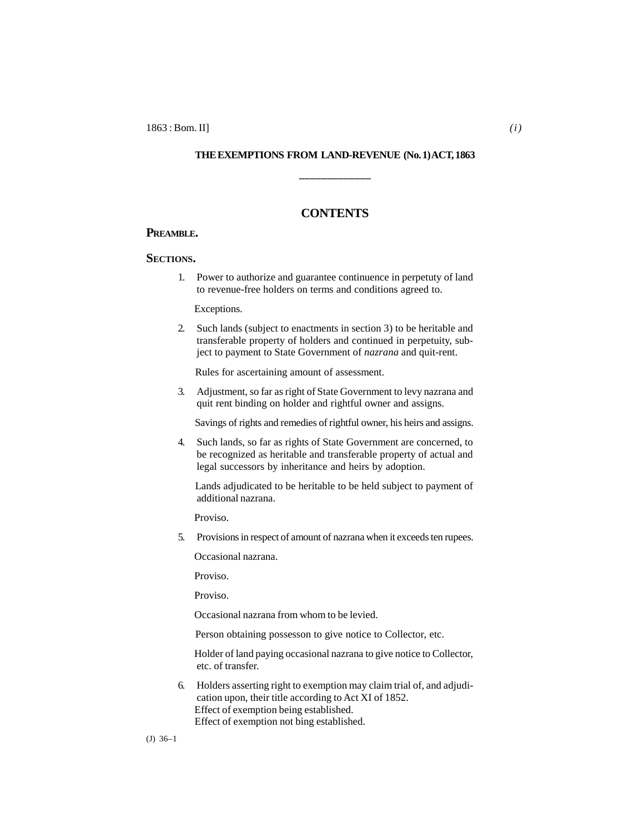#### **THE EXEMPTIONS FROM LAND-REVENUE (No. 1) ACT, 1863**

**\_\_\_\_\_\_\_\_\_\_\_\_\_**

### **CONTENTS**

#### **PREAMBLE.**

#### **SECTIONS.**

1. Power to authorize and guarantee continuence in perpetuty of land to revenue-free holders on terms and conditions agreed to.

Exceptions.

2. Such lands (subject to enactments in section 3) to be heritable and transferable property of holders and continued in perpetuity, subject to payment to State Government of *nazrana* and quit-rent.

Rules for ascertaining amount of assessment.

3. Adjustment, so far as right of State Government to levy nazrana and quit rent binding on holder and rightful owner and assigns.

Savings of rights and remedies of rightful owner, his heirs and assigns.

4. Such lands, so far as rights of State Government are concerned, to be recognized as heritable and transferable property of actual and legal successors by inheritance and heirs by adoption.

 Lands adjudicated to be heritable to be held subject to payment of additional nazrana.

Proviso.

5. Provisions in respect of amount of nazrana when it exceeds ten rupees.

Occasional nazrana.

Proviso.

Proviso.

Occasional nazrana from whom to be levied.

Person obtaining possesson to give notice to Collector, etc.

 Holder of land paying occasional nazrana to give notice to Collector, etc. of transfer.

6. Holders asserting right to exemption may claim trial of, and adjudication upon, their title according to Act XI of 1852. Effect of exemption being established. Effect of exemption not bing established.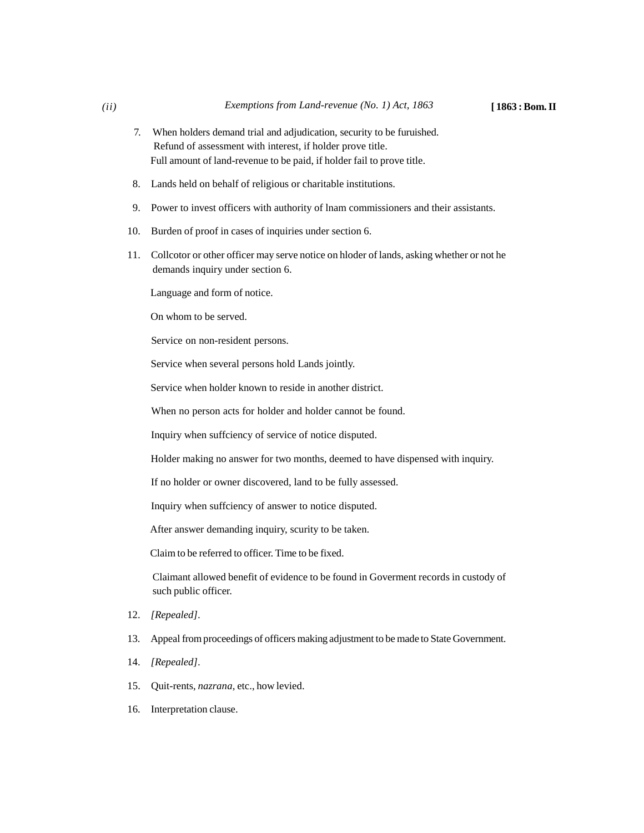- 7. When holders demand trial and adjudication, security to be furuished. Refund of assessment with interest, if holder prove title. Full amount of land-revenue to be paid, if holder fail to prove title.
- 8. Lands held on behalf of religious or charitable institutions.
- 9. Power to invest officers with authority of lnam commissioners and their assistants.
- 10. Burden of proof in cases of inquiries under section 6.
- 11. Collcotor or other officer may serve notice on hloder of lands, asking whether or not he demands inquiry under section 6.

Language and form of notice.

On whom to be served.

Service on non-resident persons.

Service when several persons hold Lands jointly.

Service when holder known to reside in another district.

When no person acts for holder and holder cannot be found.

Inquiry when suffciency of service of notice disputed.

Holder making no answer for two months, deemed to have dispensed with inquiry.

If no holder or owner discovered, land to be fully assessed.

Inquiry when suffciency of answer to notice disputed.

After answer demanding inquiry, scurity to be taken.

Claim to be referred to officer. Time to be fixed.

Claimant allowed benefit of evidence to be found in Goverment records in custody of such public officer.

- 12. *[Repealed].*
- 13. Appeal from proceedings of officers making adjustment to be made to State Government.
- 14. *[Repealed].*
- 15. Quit-rents, *nazrana*, etc., how levied.
- 16. Interpretation clause.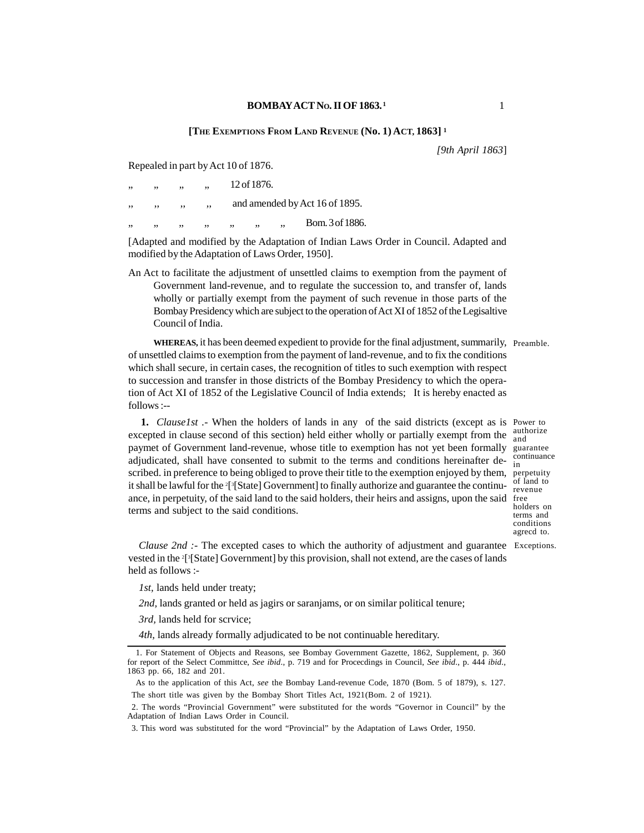#### **BOMBAYACT NO. IIOF 1863. <sup>1</sup>**

#### **[THE EXEMPTIONS FROM LAND REVENUE (No. 1) ACT, 1863] <sup>1</sup>**

*[9th April 1863*]

Repealed in part by Act 10 of 1876.

| , , | ,, | ,, | ,, |                                | 12 of 1876. |    |                 |
|-----|----|----|----|--------------------------------|-------------|----|-----------------|
| ,,  | ,, | ,, | ,, | and amended by Act 16 of 1895. |             |    |                 |
| ,,  | ,, | ,, | ,, | ,,                             | ,,          | ,, | Bom. 3 of 1886. |

[Adapted and modified by the Adaptation of Indian Laws Order in Council. Adapted and modified by the Adaptation of Laws Order, 1950].

An Act to facilitate the adjustment of unsettled claims to exemption from the payment of Government land-revenue, and to regulate the succession to, and transfer of, lands wholly or partially exempt from the payment of such revenue in those parts of the Bombay Presidency which are subject to the operation of Act XI of 1852 of the Legisaltive Council of India.

**WHEREAS,** it has been deemed expedient to provide for the final adjustment, summarily, Preamble. of unsettled claims to exemption from the payment of land-revenue, and to fix the conditions which shall secure, in certain cases, the recognition of titles to such exemption with respect to succession and transfer in those districts of the Bombay Presidency to which the operation of Act XI of 1852 of the Legislative Council of India extends; It is hereby enacted as follows :--

**1.** *Clause1st* . When the holders of lands in any of the said districts (except as is Power to excepted in clause second of this section) held either wholly or partially exempt from the authorize paymet of Government land-revenue, whose title to exemption has not yet been formally guarantee adjudicated, shall have consented to submit to the terms and conditions hereinafter deadjudicated, shall have consented to subtint to the terms and conditions herematief de-<br>scribed. in preference to being obliged to prove their title to the exemption enjoyed by them, perpetuity it shall be lawful for the <sup>2</sup>[ 3[State] Government] to finally authorize and guarantee the continuance, in perpetuity, of the said land to the said holders, their heirs and assigns, upon the said terms and subject to the said conditions.

continuance perpetuity of land to revenue free holders on terms and conditions agrecd to.

*Clause 2nd :-* The excepted cases to which the authority of adjustment and guarantee Exceptions. vested in the <sup>2</sup>[ <sup>3</sup>[State] Government] by this provision, shall not extend, are the cases of lands held as follows :-

*1st,* lands held under treaty;

*2nd,* lands granted or held as jagirs or saranjams, or on similar political tenure;

*3rd,* lands held for scrvice;

*4th,* lands already formally adjudicated to be not continuable hereditary.

<sup>1.</sup> For Statement of Objects and Reasons, see Bombay Government Gazette, 1862, Supplement, p. 360 for report of the Select Committce, *See ibid*., p. 719 and for Procecdings in Council, *See ibid*., p. 444 *ibid*., 1863 pp. 66, 182 and 201.

As to the application of this Act, *see* the Bombay Land-revenue Code, 1870 (Bom. 5 of 1879), s. 127. The short title was given by the Bombay Short Titles Act, 1921(Bom. 2 of 1921).

<sup>2.</sup> The words "Provincial Government" were substituted for the words "Governor in Council" by the Adaptation of Indian Laws Order in Council.

<sup>3.</sup> This word was substituted for the word "Provincial" by the Adaptation of Laws Order, 1950.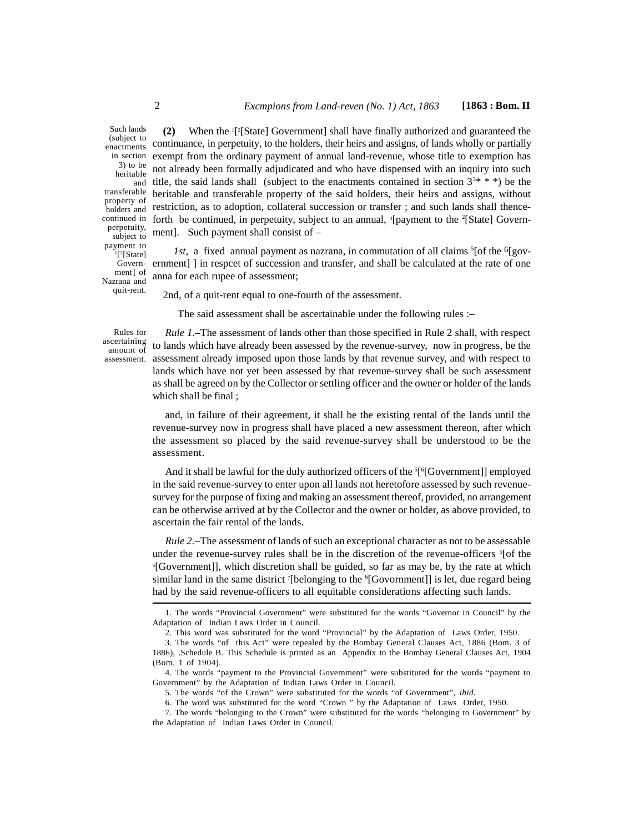(subject to enactments in section 3) to be heritable<br>and transferable property of holders and perpetuity, subject to payment to  $\frac{1}{2}$ [State] Government] of Nazrana and quit-rent.

**(2)** When the <sup>1</sup>[ <sup>2</sup>[State] Government] shall have finally authorized and guaranteed the continuance, in perpetuity, to the holders, their heirs and assigns, of lands wholly or partially exempt from the ordinary payment of annual land-revenue, whose title to exemption has not already been formally adjudicated and who have dispensed with an inquiry into such and title, the said lands shall (subject to the enactments contained in section  $3^{3*} * *$ ) be the heritable and transferable property of the said holders, their heirs and assigns, without restriction, as to adoption, collateral succession or transfer ; and such lands shall thencecontinued in forth be continued, in perpetuity, subject to an annual,  $\frac{4}{2}$  [payment to the  $\frac{2}{3}$ [State] Government]. Such payment shall consist of – Such lands  $(2)$ 

*1st,* a fixed annual payment as nazrana, in commutation of all claims  $\frac{5}{6}$  for the  $\frac{6}{8}$ government] ] in respcet of succession and transfer, and shall be calculated at the rate of one anna for each rupee of assessment;

2nd, of a quit-rent equal to one-fourth of the assessment.

The said assessment shall be ascertainable under the following rules :–

Rules for ascertaining amount of assessment.

*Rule 1.*–The assessment of lands other than those specified in Rule 2 shall, with respect to lands which have already been assessed by the revenue-survey, now in progress, be the assessment already imposed upon those lands by that revenue survey, and with respect to lands which have not yet been assessed by that revenue-survey shall be such assessment as shall be agreed on by the Collector or settling officer and the owner or holder of the lands which shall be final ;

and, in failure of their agreement, it shall be the existing rental of the lands until the revenue-survey now in progress shall have placed a new assessment thereon, after which the assessment so placed by the said revenue-survey shall be understood to be the assessment.

And it shall be lawful for the duly authorized officers of the  ${}^5[^6[Government]]$  employed in the said revenue-survey to enter upon all lands not heretofore assessed by such revenuesurvey for the purpose of fixing and making an assessment thereof, provided, no arrangement can be otherwise arrived at by the Collector and the owner or holder, as above provided, to ascertain the fair rental of the lands.

*Rule 2.*–The assessment of lands of such an exceptional character as not to be assessable under the revenue-survey rules shall be in the discretion of the revenue-officers <sup>5</sup>[of the <sup>6</sup>[Government]], which discretion shall be guided, so far as may be, by the rate at which similar land in the same district  $\delta$ [belonging to the  $\delta$ [Govornment]] is let, due regard being had by the said revenue-officers to all equitable considerations affecting such lands.

<sup>1.</sup> The words "Provincial Government" were substituted for the words "Governor in Council" by the Adaptation of Indian Laws Order in Council.

<sup>2.</sup> This word was substituted for the word "Provincial" by the Adaptation of Laws Order, 1950.

<sup>3.</sup> The words "of this Act" were repealed by the Bombay General Clauses Act, 1886 (Bom. 3 of 1886), .Schedule B. This Schedule is printed as an Appendix to the Bombay General Clauses Act, 1904 (Bom. 1 of 1904).

<sup>4.</sup> The words "payment to the Provincial Government" were substituted for the words "payment to Government" by the Adaptation of Indian Laws Order in Council.

<sup>5.</sup> The words "of the Crown" were substituted for the words "of Government", *ibid.*

<sup>6.</sup> The word was substituted for the word "Crown " by the Adaptation of Laws Order, 1950.

<sup>7.</sup> The words "belonging to the Crown" were substituted for the words "belonging to Government" by the Adaptation of Indian Laws Order in Council.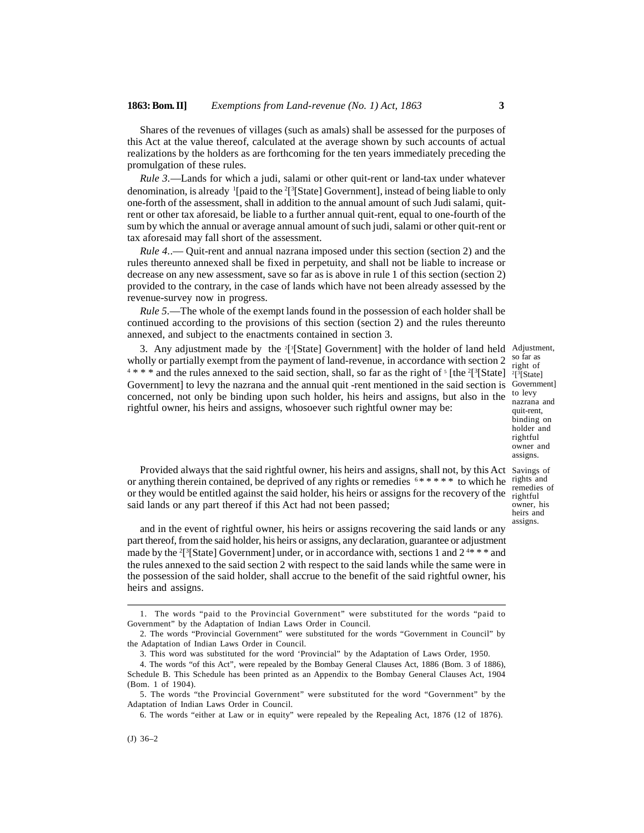Shares of the revenues of villages (such as amals) shall be assessed for the purposes of this Act at the value thereof, calculated at the average shown by such accounts of actual realizations by the holders as are forthcoming for the ten years immediately preceding the promulgation of these rules.

*Rule 3.*—Lands for which a judi, salami or other quit-rent or land-tax under whatever denomination, is already  $\frac{1}{2}$ [paid to the  $\frac{2}{3}$ [State] Government], instead of being liable to only one-forth of the assessment, shall in addition to the annual amount of such Judi salami, quitrent or other tax aforesaid, be liable to a further annual quit-rent, equal to one-fourth of the sum by which the annual or average annual amount of such judi, salami or other quit-rent or tax aforesaid may fall short of the assessment.

*Rule 4.*.— Quit-rent and annual nazrana imposed under this section (section 2) and the rules thereunto annexed shall be fixed in perpetuity, and shall not be liable to increase or decrease on any new assessment, save so far as is above in rule 1 of this section (section 2) provided to the contrary, in the case of lands which have not been already assessed by the revenue-survey now in progress.

*Rule 5.*—The whole of the exempt lands found in the possession of each holder shall be continued according to the provisions of this section (section 2) and the rules thereunto annexed, and subject to the enactments contained in section 3.

3. Any adjustment made by the <sup>2[3</sup>[State] Government] with the holder of land held Adjustment, wholly or partially exempt from the payment of land-revenue, in accordance with section 2  $4 * * *$  and the rules annexed to the said section, shall, so far as the right of  $[$  [the  $2[^{3}[$ State]  $]^{3}[$ State] Government] to levy the nazrana and the annual quit -rent mentioned in the said section is concerned, not only be binding upon such holder, his heirs and assigns, but also in the rightful owner, his heirs and assigns, whosoever such rightful owner may be:

so far as right of  $2[3[State]$ Government] to levy nazrana and quit-rent, binding on holder and rightful owner and assigns.

remedies of owner, his heirs and assigns.

Provided always that the said rightful owner, his heirs and assigns, shall not, by this Act Savings of or anything therein contained, be deprived of any rights or remedies  $6$ \*\*\*\*\* to which he rights and or they would be entitled against the said holder, his heirs or assigns for the recovery of the  $\frac{1}{\text{rightful}}$ said lands or any part thereof if this Act had not been passed;

and in the event of rightful owner, his heirs or assigns recovering the said lands or any part thereof, from the said holder, his heirs or assigns, any declaration, guarantee or adjustment made by the <sup>2</sup>[<sup>3</sup>[State] Government] under, or in accordance with, sections 1 and  $2^{4\ast}\cdot\cdot\cdot$  and the rules annexed to the said section 2 with respect to the said lands while the same were in the possession of the said holder, shall accrue to the benefit of the said rightful owner, his heirs and assigns.

<sup>1.</sup> The words "paid to the Provincial Government" were substituted for the words "paid to Government" by the Adaptation of Indian Laws Order in Council.

<sup>2.</sup> The words "Provincial Government" were substituted for the words "Government in Council" by the Adaptation of Indian Laws Order in Council.

<sup>3.</sup> This word was substituted for the word 'Provincial" by the Adaptation of Laws Order, 1950.

<sup>4.</sup> The words "of this Act", were repealed by the Bombay General Clauses Act, 1886 (Bom. 3 of 1886), Schedule B. This Schedule has been printed as an Appendix to the Bombay General Clauses Act, 1904 (Bom. 1 of 1904).

<sup>5.</sup> The words "the Provincial Government" were substituted for the word "Government" by the Adaptation of Indian Laws Order in Council.

<sup>6.</sup> The words "either at Law or in equity" were repealed by the Repealing Act, 1876 (12 of 1876).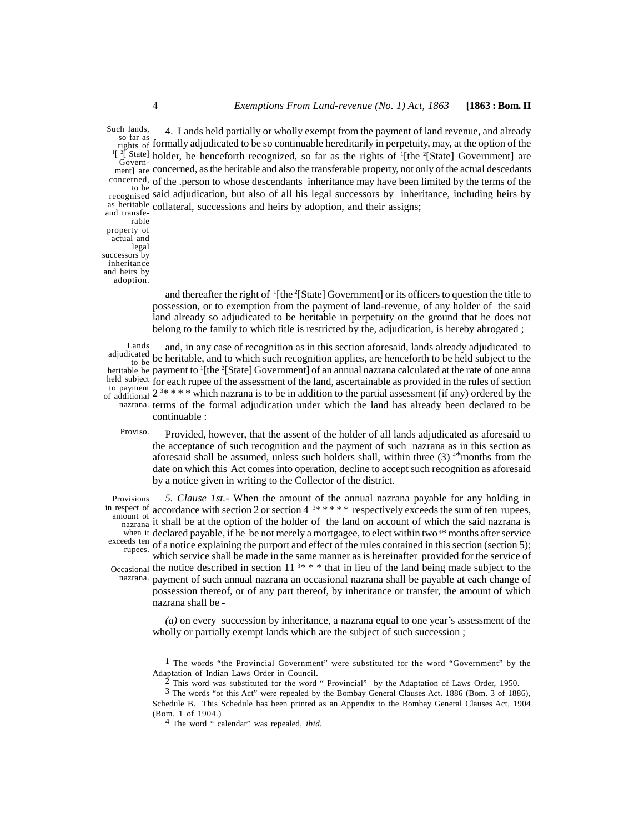4. Lands held partially or wholly exempt from the payment of land revenue, and already so far as<br>rights of formally adjudicated to be so continuable hereditarily in perpetuity, may, at the option of the <sup>1[2]</sup> State] holder, be henceforth recognized, so far as the rights of <sup>1</sup>[the <sup>2</sup>[State] Government] are ment] are concerned, as the heritable and also the transferable property, not only of the actual descedants concerned, of the .person to whose descendants inheritance may have been limited by the terms of the to be of the sperson to whose descendants inheritance may have seen inhere sy the terms of the<br>recognised said adjudication, but also of all his legal successors by inheritance, including heirs by as heritable collateral, successions and heirs by adoption, and their assigns; Such lands, Governand transferable

property of actual and legal successors by inheritance and heirs by adoption.

> and thereafter the right of <sup>1</sup>[the <sup>2</sup>[State] Government] or its officers to question the title to possession, or to exemption from the payment of land-revenue, of any holder of the said land already so adjudicated to be heritable in perpetuity on the ground that he does not belong to the family to which title is restricted by the, adjudication, is hereby abrogated ;

and, in any case of recognition as in this section aforesaid, lands already adjudicated to adjudicated to be heritable, and to which such recognition applies, are henceforth to be held subject to the heritable be payment to <sup>1</sup>[the <sup>2</sup>[State] Government] of an annual nazrana calculated at the rate of one anna held subject for each rupee of the assessment of the land, ascertainable as provided in the rules of section to payment of each rapper of the assessment of the land, assessment as provided in the rates of section to the partial assessment (if any) ordered by the nazrana. terms of the formal adjudication under which the land has already been declared to be continuable : Lands<br>adjudicated to be  $\overline{0}$  ue liel of additional  $\frac{2^{-3}}{2^{11}}$ 

Provided, however, that the assent of the holder of all lands adjudicated as aforesaid to the acceptance of such recognition and the payment of such nazrana as in this section as aforesaid shall be assumed, unless such holders shall, within three  $(3)$  <sup>4\*</sup>months from the date on which this Act comes into operation, decline to accept such recognition as aforesaid by a notice given in writing to the Collector of the district. Proviso.

*5. Clause 1st.-* When the amount of the annual nazrana payable for any holding in in respect of accordance with section 2 or section 4  $3$ \* \* \* \* respectively exceeds the sum of ten rupees, amount of incordance with section 2 of section to respect they executed the said nazrana is<br>nazrana it shall be at the option of the holder of the land on account of which the said nazrana is when it declared payable, if he be not merely a mortgagee, to elect within two<sup>4\*</sup> months after service exceeds ten of a notice explaining the purport and effect of the rules contained in this section (section 5);<br>rupees. which service shall be made in the same manner as is hereinafter provided for the service of Occasional the notice described in section  $11^{3*}$  \* \* that in lieu of the land being made subject to the nazrana. payment of such annual nazrana an occasional nazrana shall be payable at each change of payment of such annual nazrana an occasional nazrana shall be payable at each change of possession thereof, or of any part thereof, by inheritance or transfer, the amount of which nazrana shall be - Provisions

> *(a)* on every succession by inheritance, a nazrana equal to one year's assessment of the wholly or partially exempt lands which are the subject of such succession;

<sup>&</sup>lt;sup>1</sup> The words "the Provincial Government" were substituted for the word "Government" by the Adaptation of Indian Laws Order in Council.

<sup>2</sup> This word was substituted for the word " Provincial" by the Adaptation of Laws Order, 1950.

<sup>3</sup> The words "of this Act" were repealed by the Bombay General Clauses Act. 1886 (Bom. 3 of 1886), Schedule B. This Schedule has been printed as an Appendix to the Bombay General Clauses Act, 1904 (Bom. 1 of 1904.)

<sup>4</sup> The word " calendar" was repealed, *ibid.*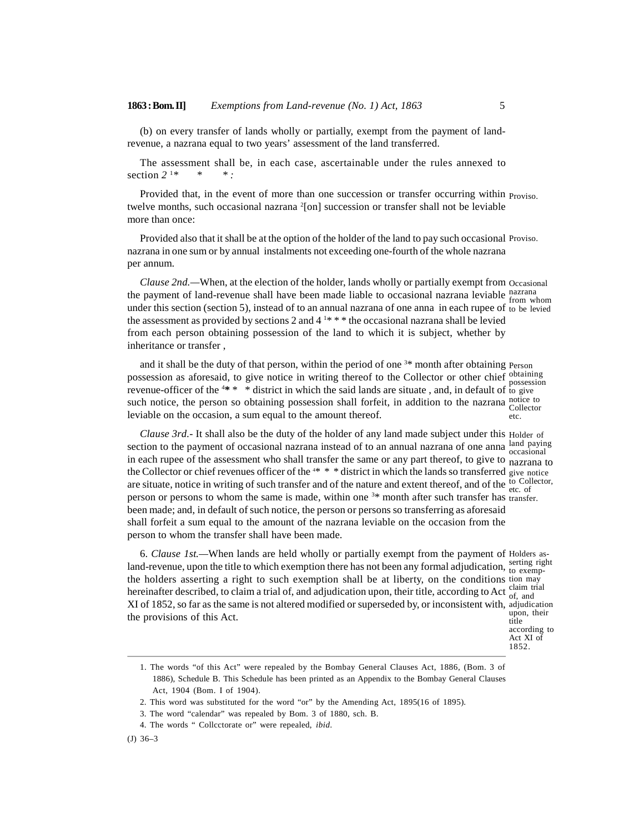(b) on every transfer of lands wholly or partially, exempt from the payment of landrevenue, a nazrana equal to two years' assessment of the land transferred.

The assessment shall be, in each case, ascertainable under the rules annexed to section *2* <sup>1</sup>*\* \* \* :*

Provided that, in the event of more than one succession or transfer occurring within Proviso. twelve months, such occasional nazrana <sup>2</sup>[on] succession or transfer shall not be leviable more than once:

Provided also that it shall be at the option of the holder of the land to pay such occasional Proviso. nazrana in one sum or by annual instalments not exceeding one-fourth of the whole nazrana per annum.

*Clause 2nd.—*When, at the election of the holder, lands wholly or partially exempt from Occasional the payment of land-revenue shall have been made liable to occasional nazrana leviable nazrana<br>
from whom under this section (section 5), instead of to an annual nazrana of one anna in each rupee of to be levied the assessment as provided by sections 2 and  $4^{1*}$  \* \* the occasional nazrana shall be levied from each person obtaining possession of the land to which it is subject, whether by inheritance or transfer ,

and it shall be the duty of that person, within the period of one  $3*$  month after obtaining Person possession as aforesaid, to give notice in writing thereof to the Collector or other chief obtaining<br>possession revenue-officer of the  $4* * *$  district in which the said lands are situate, and, in default of to give such notice, the person so obtaining possession shall forfeit, in addition to the nazrana notice to leviable on the occasion, a sum equal to the amount thereof. etc.

*Clause 3rd.-* It shall also be the duty of the holder of any land made subject under this Holder of section to the payment of occasional nazrana instead of to an annual nazrana of one anna  $\frac{\text{land } \text{paying}}{\text{occasional}}$ in each rupee of the assessment who shall transfer the same or any part thereof, to give to nazrana to the Collector or chief revenues officer of the  $4* * *$  district in which the lands so transferred give notice are situate, notice in writing of such transfer and of the nature and extent thereof, and of the  $_{\text{etc. of}}^{to}$  Collector, person or persons to whom the same is made, within one <sup>3</sup>\* month after such transfer has transfer. been made; and, in default of such notice, the person or persons so transferring as aforesaid shall forfeit a sum equal to the amount of the nazrana leviable on the occasion from the person to whom the transfer shall have been made.

6. *Clause 1st.—*When lands are held wholly or partially exempt from the payment of Holders asland-revenue, upon the title to which exemption there has not been any formal adjudication,  $_{\text{to}}^{\text{setting right}}$ the holders asserting a right to such exemption shall be at liberty, on the conditions tion may hereinafter described, to claim a trial of, and adjudication upon, their title, according to Act claim trial XI of 1852, so far as the same is not altered modified or superseded by, or inconsistent with, adjudication the provisions of this Act. to exemptitle

of, and upon, their according to Act XI of 1852.

<sup>1.</sup> The words "of this Act" were repealed by the Bombay General Clauses Act, 1886, (Bom. 3 of 1886), Schedule B. This Schedule has been printed as an Appendix to the Bombay General Clauses Act, 1904 (Bom. I of 1904).

<sup>2.</sup> This word was substituted for the word "or" by the Amending Act, 1895(16 of 1895).

<sup>3.</sup> The word "calendar" was repealed by Bom. 3 of 1880, sch. B.

<sup>4.</sup> The words " Collcctorate or" were repealed, *ibid.*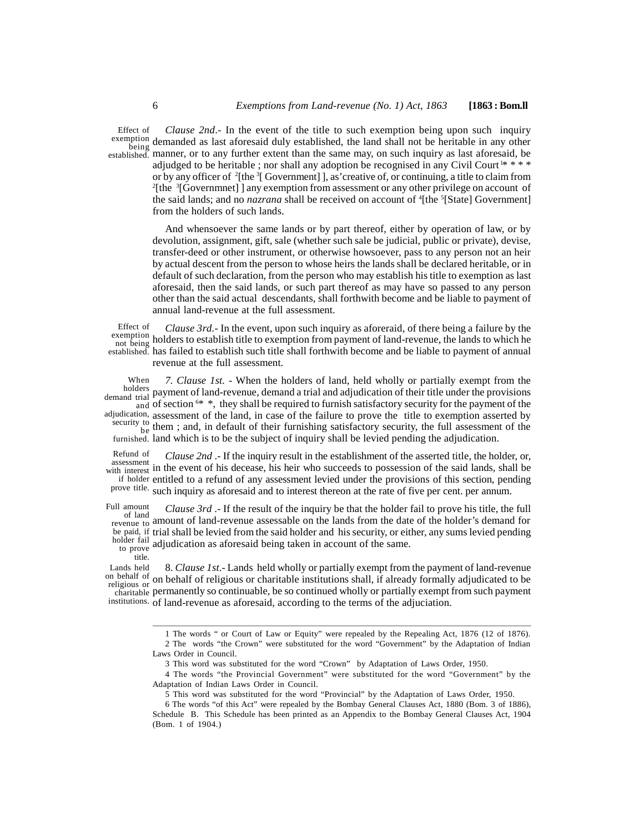Effect of

*Clause 2nd*.- In the event of the title to such exemption being upon such inquiry exemption demanded as last aforesaid duly established, the land shall not be heritable in any other manner, or to any further extent than the same may, on such inquiry as last aforesaid, be established. adjudged to be heritable ; nor shall any adoption be recognised in any Civil Court<sup>1\*</sup> \* \* \* or by any officer of  $^{2}$ [the  $^{3}$ [ Government]], as'creative of, or continuing, a title to claim from <sup>2</sup>[the  ${}^{3}$ [Governmnet] ] any exemption from assessment or any other privilege on account of the said lands; and no *nazrana* shall be received on account of <sup>4</sup>[the <sup>5</sup>[State] Government] from the holders of such lands. being uchlan

And whensoever the same lands or by part thereof, either by operation of law, or by devolution, assignment, gift, sale (whether such sale be judicial, public or private), devise, transfer-deed or other instrument, or otherwise howsoever, pass to any person not an heir by actual descent from the person to whose heirs the lands shall be declared heritable, or in default of such declaration, from the person who may establish his title to exemption as last aforesaid, then the said lands, or such part thereof as may have so passed to any person other than the said actual descendants, shall forthwith become and be liable to payment of annual land-revenue at the full assessment.

*Clause 3rd.*- In the event, upon such inquiry as aforeraid, of there being a failure by the exemption<br>not being holders to establish title to exemption from payment of land-revenue, the lands to which he established. has failed to establish such title shall forthwith become and be liable to payment of annual revenue at the full assessment. Effect of not being **HORGE** 

When 7. Clause 1st. - When the holders of land, held wholly or partially exempt from the holders payment of land-revenue, demand a trial and adjudication of their title under the provisions  $\frac{d}{dt}$  of section  $\frac{6*}{t}$ , they shall be required to furnish satisfactory security for the payment of the adjudication, assessment of the land, in case of the failure to prove the title to exemption asserted by  $t_{\rm{he}}$  them ; and, in default of their furnishing satisfactory security, the full assessment of the demand trial  $P_a^{\alpha}$ 

furnished. land which is to be the subject of inquiry shall be levied pending the adjudication.  $be$   $\frac{\text{HeIII}}{\text{HeIII}}$ 

*Clause 2nd* .- If the inquiry result in the establishment of the asserted title, the holder, or, assessment in the event of his decease, his heir who succeeds to possession of the said lands, shall be with interest if holder entitled to a refund of any assessment levied under the provisions of this section, pending prove title. such inquiry as aforesaid and to interest thereon at the rate of five per cent. per annum. Refund of assessment

*Clause 3rd* .- If the result of the inquiry be that the holder fail to prove his title, the full of land<br><sub>enue to</sub> amount of land-revenue assessable on the lands from the date of the holder's demand for be paid, if trial shall be levied from the said holder and his security, or either, any sums levied pending adjudication as aforesaid being taken in account of the same. Full amount<br>of land <sub>revenue to</sub> amoun holder fail to prove

title.

8. *Clause 1st*.- Lands held wholly or partially exempt from the payment of land-revenue on behalf of religious or charitable institutions shall, if already formally adjudicated to be permanently so continuable, be so continued wholly or partially exempt from such payment charitable institutions. of land-revenue as aforesaid, according to the terms of the adjuciation. Lands held on behalf of religious or

<sup>1</sup> The words " or Court of Law or Equity" were repealed by the Repealing Act, 1876 (12 of 1876). 2 The words "the Crown" were substituted for the word "Government" by the Adaptation of Indian Laws Order in Council.

<sup>3</sup> This word was substituted for the word "Crown" by Adaptation of Laws Order, 1950.

<sup>4</sup> The words "the Provincial Government" were substituted for the word "Government" by the Adaptation of Indian Laws Order in Council.

<sup>5</sup> This word was substituted for the word "Provincial" by the Adaptation of Laws Order, 1950.

<sup>6</sup> The words "of this Act" were repealed by the Bombay General Clauses Act, 1880 (Bom. 3 of 1886), Schedule B. This Schedule has been printed as an Appendix to the Bombay General Clauses Act, 1904 (Bom. 1 of 1904.)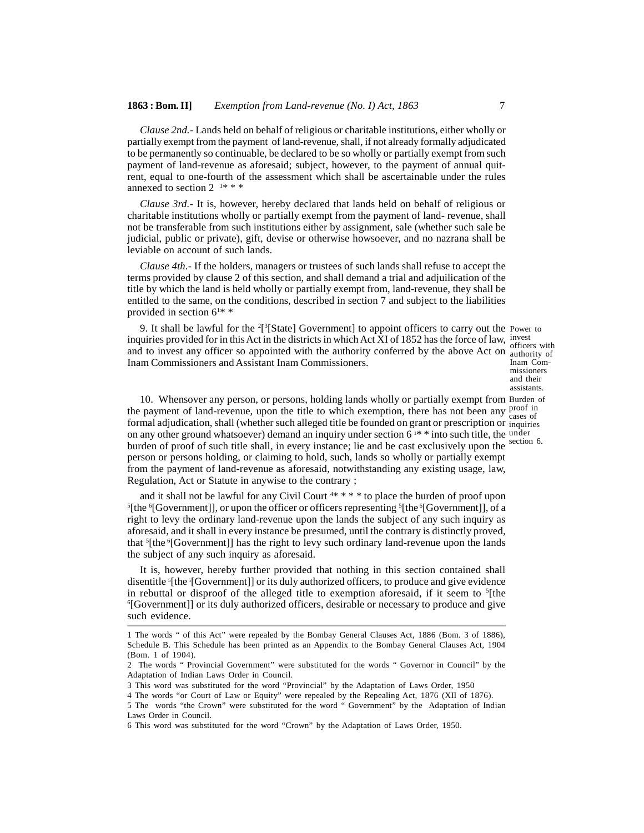*Clause 2nd.-* Lands held on behalf of religious or charitable institutions, either wholly or partially exempt from the payment of land-revenue, shall, if not already formally adjudicated to be permanently so continuable, be declared to be so wholly or partially exempt from such payment of land-revenue as aforesaid; subject, however, to the payment of annual quitrent, equal to one-fourth of the assessment which shall be ascertainable under the rules annexed to section  $2^{1***}$ 

*Clause 3rd.-* It is, however, hereby declared that lands held on behalf of religious or charitable institutions wholly or partially exempt from the payment of land- revenue, shall not be transferable from such institutions either by assignment, sale (whether such sale be judicial, public or private), gift, devise or otherwise howsoever, and no nazrana shall be leviable on account of such lands.

*Clause 4th.-* If the holders, managers or trustees of such lands shall refuse to accept the terms provided by clause 2 of this section, and shall demand a trial and adjuilication of the title by which the land is held wholly or partially exempt from, land-revenue, they shall be entitled to the same, on the conditions, described in section 7 and subject to the liabilities provided in section  $6^{1*}$  \*

9. It shall be lawful for the  $2[^{3}[\text{State}]$  Government] to appoint officers to carry out the Power to inquiries provided for in this Act in the districts in which Act XI of 1852 has the force of law,  $\frac{1}{165}$ and to invest any officer so appointed with the authority conferred by the above Act on authority of Inam Commissioners and Assistant Inam Commissioners.

officers with Inam Commissioners and their assistants.

10. Whensover any person, or persons, holding lands wholly or partially exempt from Burden of the payment of land-revenue, upon the title to which exemption, there has not been any  $\frac{1}{2}$  cases of formal adjudication, shall (whether such alleged title be founded on grant or prescription or inquiries on any other ground whatsoever) demand an inquiry under section  $6^{1*}$  into such title, the under burden of proof of such title shall, in every instance; lie and be cast exclusively upon the person or persons holding, or claiming to hold, such, lands so wholly or partially exempt from the payment of land-revenue as aforesaid, notwithstanding any existing usage, law, Regulation, Act or Statute in anywise to the contrary ; cases of section 6.

and it shall not be lawful for any Civil Court <sup>4\*</sup> \* \* \* to place the burden of proof upon <sup>5</sup>[the <sup>6</sup>[Government]], or upon the officer or officers representing <sup>5</sup>[the <sup>6</sup>[Government]], of a right to levy the ordinary land-revenue upon the lands the subject of any such inquiry as aforesaid, and it shall in every instance be presumed, until the contrary is distinctly proved, that  ${}^{5}$ [the ${}^{6}$ [Government]] has the right to levy such ordinary land-revenue upon the lands the subject of any such inquiry as aforesaid.

It is, however, hereby further provided that nothing in this section contained shall disentitle <sup>5</sup>[the <sup>5</sup>[Government]] or its duly authorized officers, to produce and give evidence in rebuttal or disproof of the alleged title to exemption aforesaid, if it seem to  $\frac{5}{1}$ the <sup>6</sup>[Government]] or its duly authorized officers, desirable or necessary to produce and give such evidence.

3 This word was substituted for the word "Provincial" by the Adaptation of Laws Order, 1950

<sup>1</sup> The words " of this Act" were repealed by the Bombay General Clauses Act, 1886 (Bom. 3 of 1886), Schedule B. This Schedule has been printed as an Appendix to the Bombay General Clauses Act, 1904 (Bom. 1 of 1904).

<sup>2</sup> The words " Provincial Government" were substituted for the words " Governor in Council" by the Adaptation of Indian Laws Order in Council.

<sup>4</sup> The words "or Court of Law or Equity" were repealed by the Repealing Act, 1876 (XII of 1876).

<sup>5</sup> The words "the Crown" were substituted for the word " Government" by the Adaptation of Indian Laws Order in Council.

<sup>6</sup> This word was substituted for the word "Crown" by the Adaptation of Laws Order, 1950.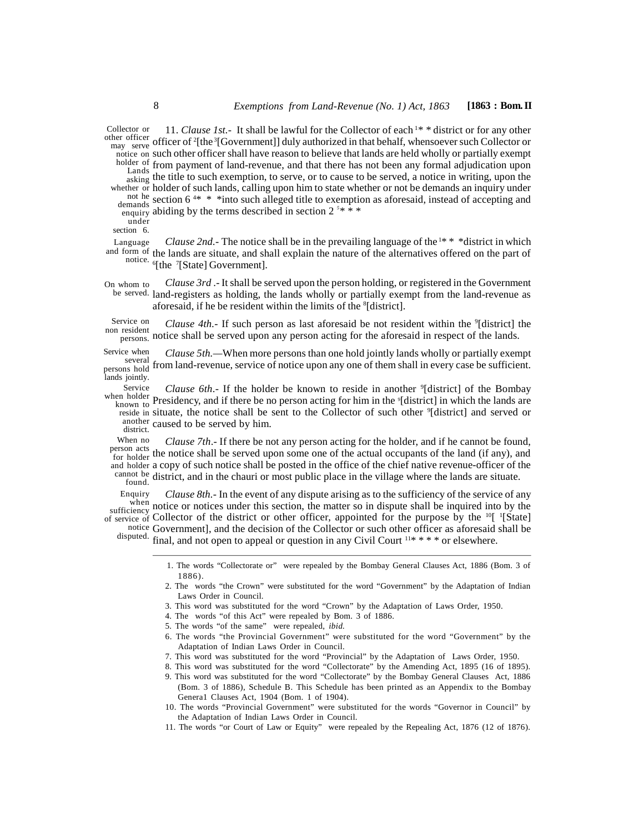11. *Clause 1st.*- It shall be lawful for the Collector of each<sup>1\*</sup> \* district or for any other officer of <sup>2</sup>[the<sup>3</sup>[Government]] duly authorized in that behalf, whensoever such Collector or may serve notice on such other officer shall have reason to believe that lands are held wholly or partially exempt holder of from payment of land-revenue, and that there has not been any formal adjudication upon Lands<br>asking the title to such exemption, to serve, or to cause to be served, a notice in writing, upon the whether or holder of such lands, calling upon him to state whether or not be demands an inquiry under not he section 6<sup>4\*</sup> \* \* into such alleged title to exemption as aforesaid, instead of accepting and  $\frac{1}{2}$  abiding by the terms described in section 2<sup>5</sup>\*\*\* Collector or <sub>asking</sub> the titl demands  $\frac{300 \text{ cm}}{1 \text{ cm}}$ under

section 6.

*Clause 2nd.*- The notice shall be in the prevailing language of the<sup>1\*\*</sup> \*district in which and form of the lands are situate, and shall explain the nature of the alternatives offered on the part of notice.  $\delta$ [the  $\delta$ [State] Government]. Language

*Clause 3rd* .- It shall be served upon the person holding, or registered in the Government be served. land-registers as holding, the lands wholly or partially exempt from the land-revenue as aforesaid, if he be resident within the limits of the <sup>8</sup>[district]. On whom to

*Clause 4th.*- If such person as last aforesaid be not resident within the <sup>9</sup>[district] the notice shall be served upon any person acting for the aforesaid in respect of the lands. persons. Service on non resident

*Clause 5th.—*When more persons than one hold jointly lands wholly or partially exempt several from land-revenue, service of notice upon any one of them shall in every case be sufficient. Service when<br>several persons hold <sup>11 OIII</sup> R lands jointly.

*Clause 6th*.- If the holder be known to reside in another <sup>9</sup>[district] of the Bombay when holder Presidency, and if there be no person acting for him in the <sup>9</sup>[district] in which the lands are<br>known to reside in situate, the notice shall be sent to the Collector of such other <sup>9</sup>[district] and served or another caused to be served by him.<br>district. Service

*Clause 7th*.- If there be not any person acting for the holder, and if he cannot be found, person acts the notice shall be served upon some one of the actual occupants of the land (if any), and person acts for holder and holder a copy of such notice shall be posted in the office of the chief native revenue-officer of the  $\frac{1}{2}$  cannot be district, and in the chauri or most public place in the village where the lands are situate. When no for holder <sup>LIC</sup>

found.

*Clause 8th.*- In the event of any dispute arising as to the sufficiency of the service of any when notice or notices under this section, the matter so in dispute shall be inquired into by the of service of Collector of the district or other officer, appointed for the purpose by the  $^{10}$ [ $^{1}$ [State] notice Government], and the decision of the Collector or such other officer as aforesaid shall be disputed. final, and not open to appeal or question in any Civil Court <sup>11\*</sup> \* \* \* or elsewhere. Enquiry sufficiency  $\sum_{n=1}^{\infty}$ 

> 1. The words "Collectorate or" were repealed by the Bombay General Clauses Act, 1886 (Bom. 3 of 1886).

> 2. The words "the Crown" were substituted for the word "Government" by the Adaptation of Indian Laws Order in Council.

3. This word was substituted for the word "Crown" by the Adaptation of Laws Order, 1950.

4. The words "of this Act" were repealed by Bom. 3 of 1886.

- 5. The words "of the same" were repealed, *ibid.*
- 6. The words "the Provincial Government" were substituted for the word "Government" by the Adaptation of Indian Laws Order in Council.
- 7. This word was substituted for the word "Provincial" by the Adaptation of Laws Order, 1950.
- 8. This word was substituted for the word "Collectorate" by the Amending Act, 1895 (16 of 1895).
- 9. This word was substituted for the word "Collectorate" by the Bombay General Clauses Act, 1886 (Bom. 3 of 1886), Schedule B. This Schedule has been printed as an Appendix to the Bombay Genera1 Clauses Act, 1904 (Bom. 1 of 1904).
- 10. The words "Provincial Government" were substituted for the words "Governor in Council" by the Adaptation of Indian Laws Order in Council.
- 11. The words "or Court of Law or Equity" were repealed by the Repealing Act, 1876 (12 of 1876).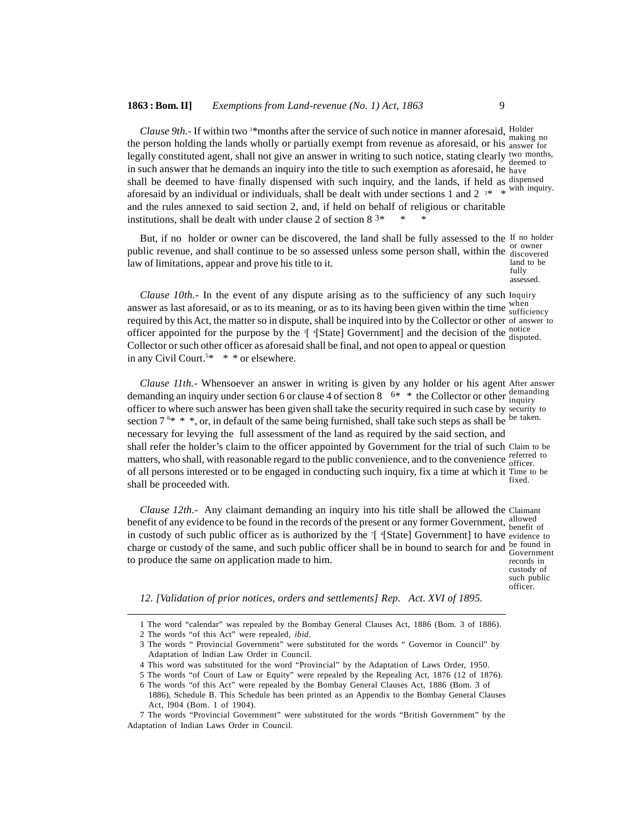#### **1863 : Bom. II]** *Exemptions from Land-revenue (No. 1) Act, 1863* 9

*Clause 9th.* If within two <sup>1\*</sup>months after the service of such notice in manner aforesaid, Holder the person holding the lands wholly or partially exempt from revenue as aforesaid, or his answer for legally constituted agent, shall not give an answer in writing to such notice, stating clearly two months, in such answer that he demands an inquiry into the title to such exemption as aforesaid, he have shall be deemed to have finally dispensed with such inquiry, and the lands, if held as dispensed aforesaid by an individual or individuals, shall be dealt with under sections 1 and 2  $2*$  \* with inquiry. and the rules annexed to said section 2, and, if held on behalf of religious or charitable institutions, shall be dealt with under clause 2 of section  $8^{3*}$ making no deemed to

But, if no holder or owner can be discovered, the land shall be fully assessed to the If no holder public revenue, and shall continue to be so assessed unless some person shall, within the <sup>or owner</sup> law of limitations, appear and prove his title to it. discovered land to be

fully assessed.

*Clause 10th.-* In the event of any dispute arising as to the sufficiency of any such Inquiry answer as last aforesaid, or as to its meaning, or as to its having been given within the time  $\frac{\text{when}}{\text{surface}}$ required by this Act, the matter so in dispute, shall be inquired into by the Collector or other of answer to officer appointed for the purpose by the  $3$ [  $4$ [State] Government] and the decision of the notice Collector or such other officer as aforesaid shall be final, and not open to appeal or question in any Civil Court.<sup>5\*</sup> \* \* or elsewhere. sufficiency disputed.

*Clause 11th.-* Whensoever an answer in writing is given by any holder or his agent After answer demanding an inquiry under section 6 or clause 4 of section 8  $6*$  \* the Collector or other  $\frac{\text{demanding}}{\text{inarity}}$ officer to where such answer has been given shall take the security required in such case by security to section  $7^{6*}$  \* \*, or, in default of the same being furnished, shall take such steps as shall be necessary for levying the full assessment of the land as required by the said section, and shall refer the holder's claim to the officer appointed by Government for the trial of such Claim to be matters, who shall, with reasonable regard to the public convenience, and to the convenience  $\frac{reference}{difference}$ of all persons interested or to be engaged in conducting such inquiry, fix a time at which it Time to be shall be proceeded with. inquiry be taken. officer. fixed.

*Clause 12th.-* Any claimant demanding an inquiry into his title shall be allowed the Claimant benefit of any evidence to be found in the records of the present or any former Government, allowed in custody of such public officer as is authorized by the <sup>7</sup>[ <sup>4</sup>[State] Government] to have evidence to charge or custody of the same, and such public officer shall be in bound to search for and be found in Government to produce the same on application made to him. records in

custody of such public officer.

*12. [Validation of prior notices, orders and settlements] Rep. Act. XVI of 1895.*

<sup>1</sup> The word "calendar" was repealed by the Bombay General Clauses Act, 1886 (Bom. 3 of 1886).

<sup>2</sup> The words "of this Act" were repealed, *ibid.*

<sup>3</sup> The words " Provincial Government" were substituted for the words " Governor in Council" by Adaptation of Indian Law Order in Council.

<sup>4</sup> This word was substituted for the word "Provincial" by the Adaptation of Laws Order, 1950.

<sup>5</sup> The words "of Court of Law or Equity" were repealed by the Repealing Act, 1876 (12 of 1876).

<sup>6</sup> The words "of this Act" were repealed by the Bombay General Clauses Act, 1886 (Bom. 3 of

<sup>1886),</sup> Schedule B. This Schedule has been printed as an Appendix to the Bombay General Clauses Act, l904 (Bom. 1 of 1904).

<sup>7</sup> The words "Provincial Government" were substituted for the words "British Government" by the Adaptation of Indian Laws Order in Council.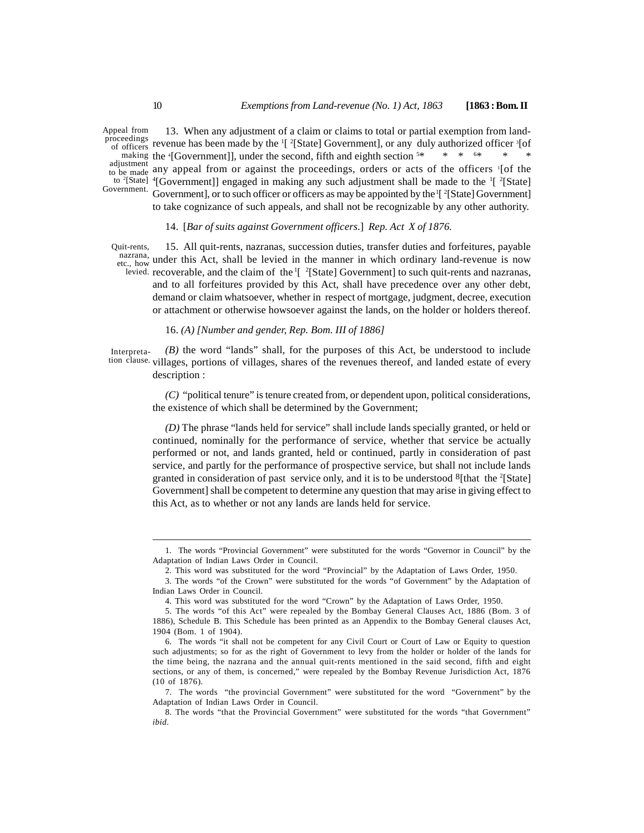Appeal from proceedings of officers to be made any a Government.

13. When any adjustment of a claim or claims to total or partial exemption from landrevenue has been made by the <sup>1</sup>[ <sup>2</sup>[State] Government], or any duly authorized officer <sup>3</sup>[of making the  $\text{``Government]}$ , under the second, fifth and eighth section  $\frac{5*}{1} \cdot \frac{3*}{1} \cdot \frac{3*}{1} \cdot \frac{3*}{1}$ adjustment any appeal from or against the proceedings, orders or acts of the officers  $\frac{1}{1}$  [of the to <sup>2</sup>[State]  $\rm ^4[Government]$ ] engaged in making any such adjustment shall be made to the <sup>1</sup>[ $\rm ^2[State]$ Government], or to such officer or officers as may be appointed by the  $\frac{1}{2}$ [State] Government]

to take cognizance of such appeals, and shall not be recognizable by any other authority.

14. [*Bar of suits against Government officers*.] *Rep. Act X of 1876.*

15. All quit-rents, nazranas, succession duties, transfer duties and forfeitures, payable  $\frac{\text{maxrana}}{\text{how}}$  under this Act, shall be levied in the manner in which ordinary land-revenue is now levied. recoverable, and the claim of the  $\frac{1}{2}$  [State] Government] to such quit-rents and nazranas, and to all forfeitures provided by this Act, shall have precedence over any other debt, demand or claim whatsoever, whether in respect of mortgage, judgment, decree, execution or attachment or otherwise howsoever against the lands, on the holder or holders thereof. Quit-rents, etc., how **under** this

#### 16. *(A) [Number and gender, Rep. Bom. III of 1886]*

*(B)* the word "lands" shall, for the purposes of this Act, be understood to include tion clause. villages, portions of villages, shares of the revenues thereof, and landed estate of every description : Interpreta-

*(C)* "political tenure" is tenure created from, or dependent upon, political considerations, the existence of which shall be determined by the Government;

*(D)* The phrase "lands held for service" shall include lands specially granted, or held or continued, nominally for the performance of service, whether that service be actually performed or not, and lands granted, held or continued, partly in consideration of past service, and partly for the performance of prospective service, but shall not include lands granted in consideration of past service only, and it is to be understood  $8$ [that the  $2$ [State] Government] shall be competent to determine any question that may arise in giving effect to this Act, as to whether or not any lands are lands held for service.

<sup>1.</sup> The words "Provincial Government" were substituted for the words "Governor in Council" by the Adaptation of Indian Laws Order in Council.

<sup>2.</sup> This word was substituted for the word "Provincial" by the Adaptation of Laws Order, 1950.

<sup>3.</sup> The words "of the Crown" were substituted for the words "of Government" by the Adaptation of Indian Laws Order in Council.

<sup>4.</sup> This word was substituted for the word "Crown" by the Adaptation of Laws Order, 1950.

<sup>5.</sup> The words "of this Act" were repealed by the Bombay General Clauses Act, 1886 (Bom. 3 of 1886), Schedule B. This Schedule has been printed as an Appendix to the Bombay General clauses Act, 1904 (Bom. 1 of 1904).

<sup>6.</sup> The words "it shall not be competent for any Civil Court or Court of Law or Equity to question such adjustments; so for as the right of Government to levy from the holder or holder of the lands for the time being, the nazrana and the annual quit-rents mentioned in the said second, fifth and eight sections, or any of them, is concerned," were repealed by the Bombay Revenue Jurisdiction Act, 1876 (10 of 1876).

<sup>7.</sup> The words "the provincial Government" were substituted for the word "Government" by the Adaptation of Indian Laws Order in Council.

<sup>8.</sup> The words "that the Provincial Government" were substituted for the words "that Government" *ibid.*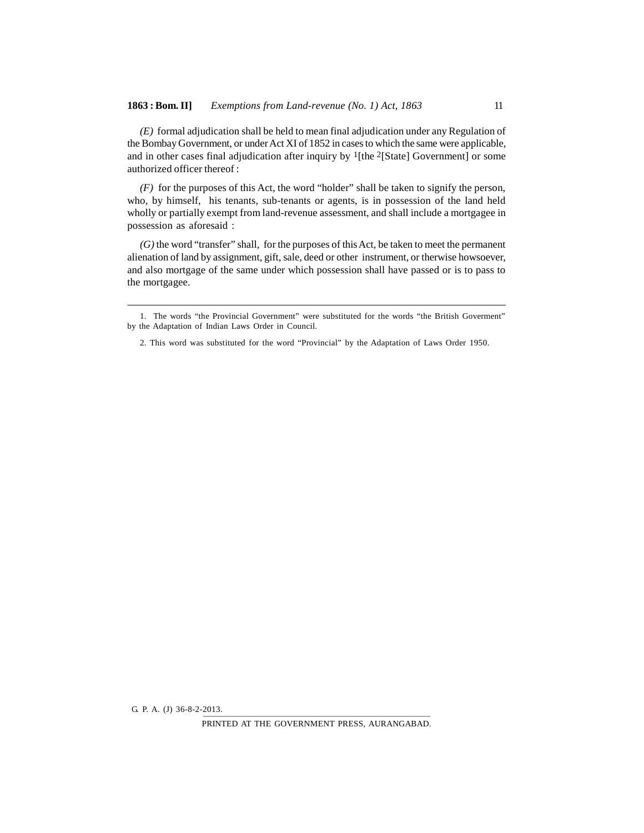*(E)* formal adjudication shall be held to mean final adjudication under any Regulation of the Bombay Government, or under Act XI of 1852 in cases to which the same were applicable, and in other cases final adjudication after inquiry by <sup>1</sup>[the <sup>2</sup>[State] Government] or some authorized officer thereof :

*(F)* for the purposes of this Act, the word "holder" shall be taken to signify the person, who, by himself, his tenants, sub-tenants or agents, is in possession of the land held wholly or partially exempt from land-revenue assessment, and shall include a mortgagee in possession as aforesaid :

*(G)* the word "transfer" shall, for the purposes of this Act, be taken to meet the permanent alienation of land by assignment, gift, sale, deed or other instrument, or therwise howsoever, and also mortgage of the same under which possession shall have passed or is to pass to the mortgagee.

PRINTED AT THE GOVERNMENT PRESS, AURANGABAD.

<sup>1.</sup> The words "the Provincial Government" were substituted for the words "the British Goverment" by the Adaptation of Indian Laws Order in Council.

<sup>2.</sup> This word was substituted for the word "Provincial" by the Adaptation of Laws Order 1950.